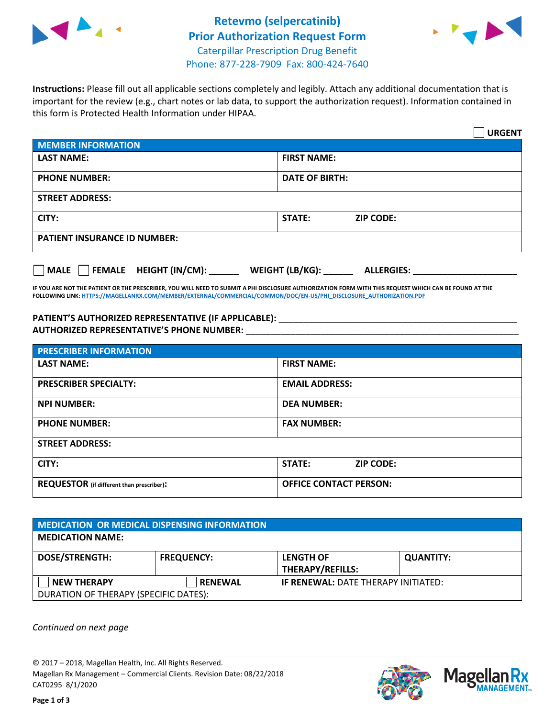



**Instructions:** Please fill out all applicable sections completely and legibly. Attach any additional documentation that is important for the review (e.g., chart notes or lab data, to support the authorization request). Information contained in this form is Protected Health Information under HIPAA.

|                                       |                                      | <b>URGENT</b> |
|---------------------------------------|--------------------------------------|---------------|
| <b>MEMBER INFORMATION</b>             |                                      |               |
| <b>LAST NAME:</b>                     | <b>FIRST NAME:</b>                   |               |
| <b>PHONE NUMBER:</b>                  | <b>DATE OF BIRTH:</b>                |               |
| <b>STREET ADDRESS:</b>                |                                      |               |
| CITY:                                 | <b>ZIP CODE:</b><br>STATE:           |               |
| <b>PATIENT INSURANCE ID NUMBER:</b>   |                                      |               |
| FEMALE HEIGHT (IN/CM):<br><b>MALE</b> | WEIGHT (LB/KG):<br><b>ALLERGIES:</b> |               |

**IF YOU ARE NOT THE PATIENT OR THE PRESCRIBER, YOU WILL NEED TO SUBMIT A PHI DISCLOSURE AUTHORIZATION FORM WITH THIS REQUEST WHICH CAN BE FOUND AT THE FOLLOWING LINK[: HTTPS://MAGELLANRX.COM/MEMBER/EXTERNAL/COMMERCIAL/COMMON/DOC/EN-US/PHI\\_DISCLOSURE\\_AUTHORIZATION.PDF](https://magellanrx.com/member/external/commercial/common/doc/en-us/PHI_Disclosure_Authorization.pdf)**

PATIENT'S AUTHORIZED REPRESENTATIVE (IF APPLICABLE): \_\_\_\_\_\_\_\_\_\_\_\_\_\_\_\_\_\_\_\_\_\_\_\_\_\_\_ **AUTHORIZED REPRESENTATIVE'S PHONE NUMBER:** \_\_\_\_\_\_\_\_\_\_\_\_\_\_\_\_\_\_\_\_\_\_\_\_\_\_\_\_\_\_\_\_\_\_\_\_\_\_\_\_\_\_\_\_\_\_\_\_\_\_\_\_\_\_\_

| <b>PRESCRIBER INFORMATION</b>             |                               |  |  |  |
|-------------------------------------------|-------------------------------|--|--|--|
| <b>LAST NAME:</b>                         | <b>FIRST NAME:</b>            |  |  |  |
| <b>PRESCRIBER SPECIALTY:</b>              | <b>EMAIL ADDRESS:</b>         |  |  |  |
| <b>NPI NUMBER:</b>                        | <b>DEA NUMBER:</b>            |  |  |  |
| <b>PHONE NUMBER:</b>                      | <b>FAX NUMBER:</b>            |  |  |  |
| <b>STREET ADDRESS:</b>                    |                               |  |  |  |
| CITY:                                     | STATE:<br><b>ZIP CODE:</b>    |  |  |  |
| REQUESTOR (if different than prescriber): | <b>OFFICE CONTACT PERSON:</b> |  |  |  |

| <b>MEDICATION OR MEDICAL DISPENSING INFORMATION</b> |                   |                                            |                  |  |  |
|-----------------------------------------------------|-------------------|--------------------------------------------|------------------|--|--|
| <b>MEDICATION NAME:</b>                             |                   |                                            |                  |  |  |
| <b>DOSE/STRENGTH:</b>                               | <b>FREQUENCY:</b> | <b>LENGTH OF</b>                           | <b>QUANTITY:</b> |  |  |
|                                                     |                   | <b>THERAPY/REFILLS:</b>                    |                  |  |  |
| <b>NEW THERAPY</b>                                  | <b>RENEWAL</b>    | <b>IF RENEWAL: DATE THERAPY INITIATED:</b> |                  |  |  |
| DURATION OF THERAPY (SPECIFIC DATES):               |                   |                                            |                  |  |  |

*Continued on next page*

© 2017 – 2018, Magellan Health, Inc. All Rights Reserved. Magellan Rx Management – Commercial Clients. Revision Date: 08/22/2018 CAT0295 8/1/2020



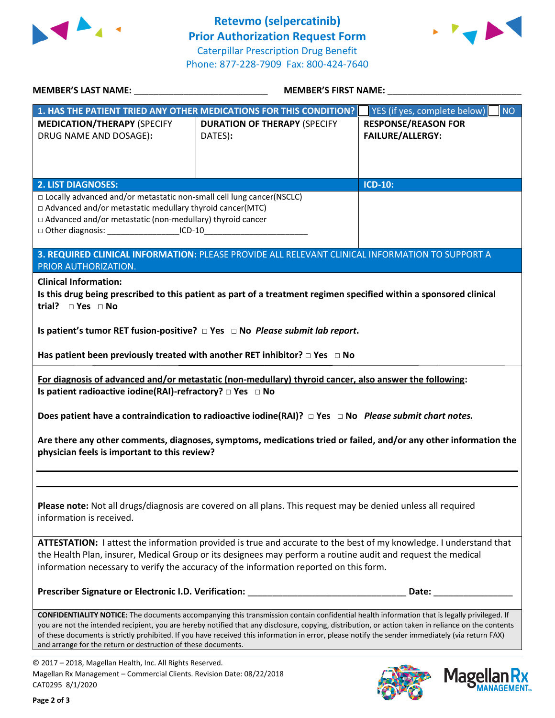



Mage

**Ilan Rx<br>ANAGEMENT®** 

| MEMBER'S LAST NAME: _____________________________                                                                                                                                                                                                                                                       | MEMBER'S FIRST NAME:                                                                                                                               |                                    |  |  |  |
|---------------------------------------------------------------------------------------------------------------------------------------------------------------------------------------------------------------------------------------------------------------------------------------------------------|----------------------------------------------------------------------------------------------------------------------------------------------------|------------------------------------|--|--|--|
|                                                                                                                                                                                                                                                                                                         | 1. HAS THE PATIENT TRIED ANY OTHER MEDICATIONS FOR THIS CONDITION?                                                                                 | YES (if yes, complete below)<br>NO |  |  |  |
| <b>MEDICATION/THERAPY (SPECIFY</b>                                                                                                                                                                                                                                                                      | <b>DURATION OF THERAPY (SPECIFY</b>                                                                                                                | <b>RESPONSE/REASON FOR</b>         |  |  |  |
| DRUG NAME AND DOSAGE):                                                                                                                                                                                                                                                                                  | DATES):                                                                                                                                            | <b>FAILURE/ALLERGY:</b>            |  |  |  |
|                                                                                                                                                                                                                                                                                                         |                                                                                                                                                    |                                    |  |  |  |
|                                                                                                                                                                                                                                                                                                         |                                                                                                                                                    |                                    |  |  |  |
|                                                                                                                                                                                                                                                                                                         |                                                                                                                                                    |                                    |  |  |  |
| <b>2. LIST DIAGNOSES:</b>                                                                                                                                                                                                                                                                               |                                                                                                                                                    | <b>ICD-10:</b>                     |  |  |  |
| □ Locally advanced and/or metastatic non-small cell lung cancer(NSCLC)                                                                                                                                                                                                                                  |                                                                                                                                                    |                                    |  |  |  |
| □ Advanced and/or metastatic medullary thyroid cancer(MTC)                                                                                                                                                                                                                                              |                                                                                                                                                    |                                    |  |  |  |
| □ Advanced and/or metastatic (non-medullary) thyroid cancer                                                                                                                                                                                                                                             |                                                                                                                                                    |                                    |  |  |  |
| □ Other diagnosis: ____________________ICD-10__________________________________                                                                                                                                                                                                                         |                                                                                                                                                    |                                    |  |  |  |
|                                                                                                                                                                                                                                                                                                         | 3. REQUIRED CLINICAL INFORMATION: PLEASE PROVIDE ALL RELEVANT CLINICAL INFORMATION TO SUPPORT A                                                    |                                    |  |  |  |
| PRIOR AUTHORIZATION.                                                                                                                                                                                                                                                                                    |                                                                                                                                                    |                                    |  |  |  |
|                                                                                                                                                                                                                                                                                                         |                                                                                                                                                    |                                    |  |  |  |
| <b>Clinical Information:</b>                                                                                                                                                                                                                                                                            |                                                                                                                                                    |                                    |  |  |  |
| trial? $\square$ Yes $\square$ No                                                                                                                                                                                                                                                                       | Is this drug being prescribed to this patient as part of a treatment regimen specified within a sponsored clinical                                 |                                    |  |  |  |
|                                                                                                                                                                                                                                                                                                         |                                                                                                                                                    |                                    |  |  |  |
|                                                                                                                                                                                                                                                                                                         | Is patient's tumor RET fusion-positive? $\Box$ Yes $\Box$ No Please submit lab report.                                                             |                                    |  |  |  |
|                                                                                                                                                                                                                                                                                                         |                                                                                                                                                    |                                    |  |  |  |
|                                                                                                                                                                                                                                                                                                         | Has patient been previously treated with another RET inhibitor? $\Box$ Yes $\Box$ No                                                               |                                    |  |  |  |
|                                                                                                                                                                                                                                                                                                         | For diagnosis of advanced and/or metastatic (non-medullary) thyroid cancer, also answer the following:                                             |                                    |  |  |  |
| Is patient radioactive iodine(RAI)-refractory? $\Box$ Yes $\Box$ No                                                                                                                                                                                                                                     |                                                                                                                                                    |                                    |  |  |  |
|                                                                                                                                                                                                                                                                                                         |                                                                                                                                                    |                                    |  |  |  |
|                                                                                                                                                                                                                                                                                                         | Does patient have a contraindication to radioactive iodine(RAI)? $\Box$ Yes $\Box$ No Please submit chart notes.                                   |                                    |  |  |  |
|                                                                                                                                                                                                                                                                                                         |                                                                                                                                                    |                                    |  |  |  |
|                                                                                                                                                                                                                                                                                                         | Are there any other comments, diagnoses, symptoms, medications tried or failed, and/or any other information the                                   |                                    |  |  |  |
| physician feels is important to this review?                                                                                                                                                                                                                                                            |                                                                                                                                                    |                                    |  |  |  |
|                                                                                                                                                                                                                                                                                                         |                                                                                                                                                    |                                    |  |  |  |
|                                                                                                                                                                                                                                                                                                         |                                                                                                                                                    |                                    |  |  |  |
|                                                                                                                                                                                                                                                                                                         |                                                                                                                                                    |                                    |  |  |  |
|                                                                                                                                                                                                                                                                                                         | Please note: Not all drugs/diagnosis are covered on all plans. This request may be denied unless all required                                      |                                    |  |  |  |
| information is received.                                                                                                                                                                                                                                                                                |                                                                                                                                                    |                                    |  |  |  |
|                                                                                                                                                                                                                                                                                                         |                                                                                                                                                    |                                    |  |  |  |
|                                                                                                                                                                                                                                                                                                         | ATTESTATION: I attest the information provided is true and accurate to the best of my knowledge. I understand that                                 |                                    |  |  |  |
| the Health Plan, insurer, Medical Group or its designees may perform a routine audit and request the medical                                                                                                                                                                                            |                                                                                                                                                    |                                    |  |  |  |
|                                                                                                                                                                                                                                                                                                         | information necessary to verify the accuracy of the information reported on this form.                                                             |                                    |  |  |  |
|                                                                                                                                                                                                                                                                                                         |                                                                                                                                                    |                                    |  |  |  |
|                                                                                                                                                                                                                                                                                                         | Prescriber Signature or Electronic I.D. Verification: __________________________                                                                   | Date:                              |  |  |  |
|                                                                                                                                                                                                                                                                                                         |                                                                                                                                                    |                                    |  |  |  |
|                                                                                                                                                                                                                                                                                                         | <b>CONFIDENTIALITY NOTICE:</b> The documents accompanying this transmission contain confidential health information that is legally privileged. If |                                    |  |  |  |
| you are not the intended recipient, you are hereby notified that any disclosure, copying, distribution, or action taken in reliance on the contents<br>of these documents is strictly prohibited. If you have received this information in error, please notify the sender immediately (via return FAX) |                                                                                                                                                    |                                    |  |  |  |
| and arrange for the return or destruction of these documents.                                                                                                                                                                                                                                           |                                                                                                                                                    |                                    |  |  |  |
| © 2017 - 2018. Magellan Health, Inc. All Rights Reserved.                                                                                                                                                                                                                                               |                                                                                                                                                    |                                    |  |  |  |

Aagellan Health, Inc. All Rights Magellan Rx Management – Commercial Clients. Revision Date: 08/22/2018 CAT0295 8/1/2020